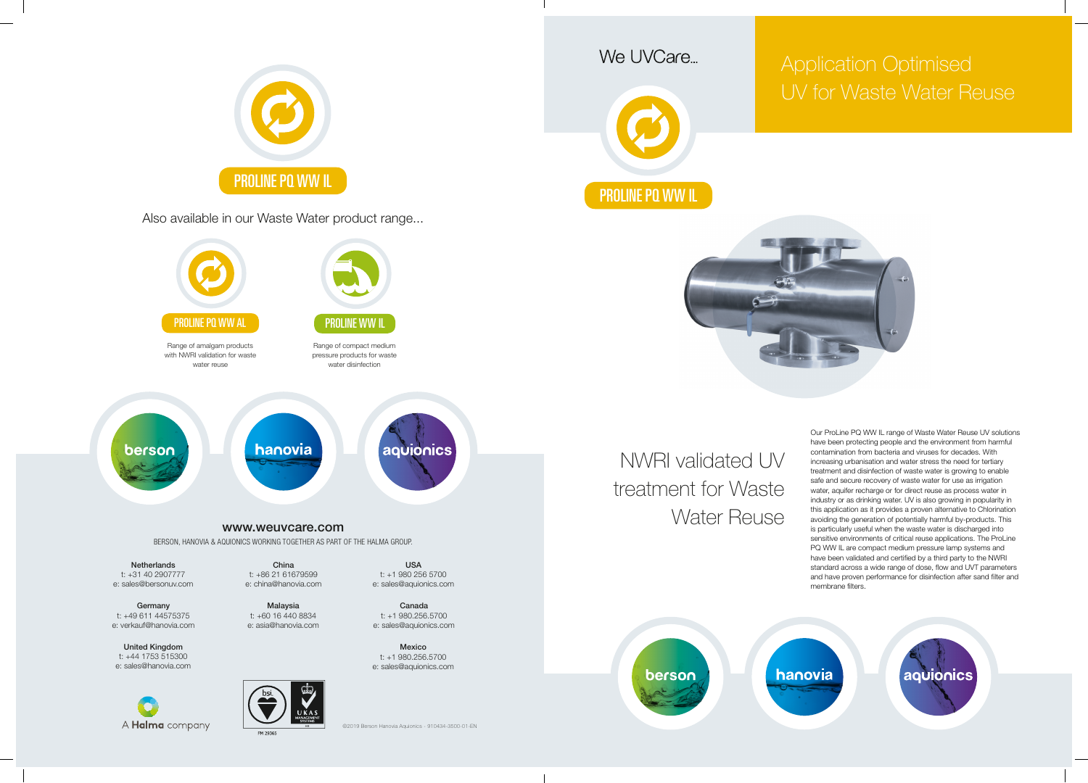NWRI validated UV treatment for Waste Water Reuse



Our ProLine PQ WW IL range of Waste Water Reuse UV solutions have been protecting people and the environment from harmful contamination from bacteria and viruses for decades. With increasing urbanisation and water stress the need for tertiary treatment and disinfection of waste water is growing to enable safe and secure recovery of waste water for use as irrigation water, aquifer recharge or for direct reuse as process water in industry or as drinking water. UV is also growing in popularity in this application as it provides a proven alternative to Chlorination avoiding the generation of potentially harmful by-products. This is particularly useful when the waste water is discharged into sensitive environments of critical reuse applications. The ProLine PQ WW IL are compact medium pressure lamp systems and have been validated and certified by a third party to the NWRI standard across a wide range of dose, flow and UVT parameters and have proven performance for disinfection after sand filter and membrane filters.

hanovia

aquionics

## Application Optimised UV for Waste Water Reuse



Also available in our Waste Water product range...







e: sales@aquionics.com



e: sales@aquionics.com

©2019 Berson Hanovia Aquionics - 910434-3500-01-EN